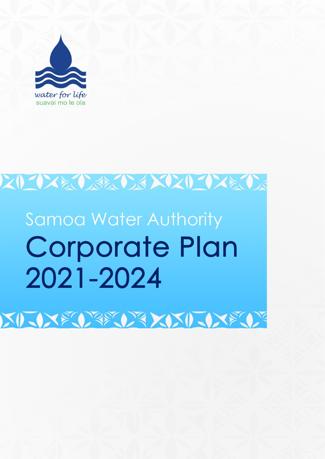

# スリーウスをひょうだい メリンリーウスをひょ

# **Samoa Water Authority Corporate Plan** 2021-2024

XIXXXXXXXXXIXXXXXX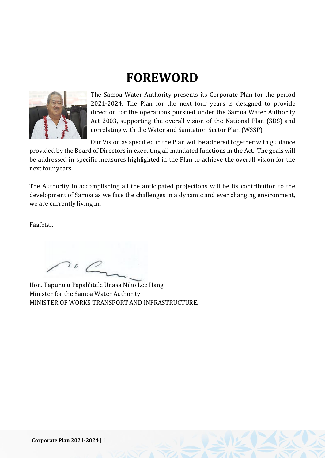## **FOREWORD**



The Samoa Water Authority presents its Corporate Plan for the period 2021-2024. The Plan for the next four years is designed to provide direction for the operations pursued under the Samoa Water Authority Act 2003, supporting the overall vision of the National Plan (SDS) and correlating with the Water and Sanitation Sector Plan (WSSP)

Our Vision as specified in the Plan will be adhered together with guidance provided by the Board of Directors in executing all mandated functions in the Act. The goals will be addressed in specific measures highlighted in the Plan to achieve the overall vision for the next four years.

The Authority in accomplishing all the anticipated projections will be its contribution to the development of Samoa as we face the challenges in a dynamic and ever changing environment, we are currently living in.

Faafetai,

 $\sum_{n}$ 

Hon. Tapunu'u Papali'itele Unasa Niko Lee Hang Minister for the Samoa Water Authority MINISTER OF WORKS TRANSPORT AND INFRASTRUCTURE.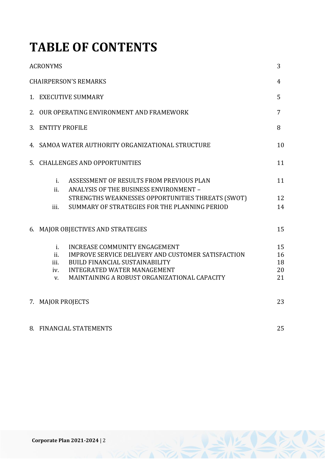## **TABLE OF CONTENTS**

| <b>ACRONYMS</b>                                                                                                                                                                                                                                      | 3                          |
|------------------------------------------------------------------------------------------------------------------------------------------------------------------------------------------------------------------------------------------------------|----------------------------|
| <b>CHAIRPERSON'S REMARKS</b>                                                                                                                                                                                                                         | 4                          |
| 1. EXECUTIVE SUMMARY                                                                                                                                                                                                                                 | 5                          |
| 2. OUR OPERATING ENVIRONMENT AND FRAMEWORK                                                                                                                                                                                                           | 7                          |
| 3. ENTITY PROFILE                                                                                                                                                                                                                                    | 8                          |
| 4. SAMOA WATER AUTHORITY ORGANIZATIONAL STRUCTURE                                                                                                                                                                                                    | 10                         |
| 5. CHALLENGES AND OPPORTUNITIES                                                                                                                                                                                                                      | 11                         |
| ASSESSMENT OF RESULTS FROM PREVIOUS PLAN<br>$i$ .<br>ii.<br>ANALYSIS OF THE BUSINESS ENVIRONMENT -                                                                                                                                                   | 11                         |
| STRENGTHS WEAKNESSES OPPORTUNITIES THREATS (SWOT)<br>SUMMARY OF STRATEGIES FOR THE PLANNING PERIOD<br>iii.                                                                                                                                           | 12<br>14                   |
| 6. MAJOR OBJECTIVES AND STRATEGIES                                                                                                                                                                                                                   | 15                         |
| INCREASE COMMUNITY ENGAGEMENT<br>i.<br>ii.<br>IMPROVE SERVICE DELIVERY AND CUSTOMER SATISFACTION<br>iii.<br><b>BUILD FINANCIAL SUSTAINABILITY</b><br><b>INTEGRATED WATER MANAGEMENT</b><br>iv.<br>MAINTAINING A ROBUST ORGANIZATIONAL CAPACITY<br>V. | 15<br>16<br>18<br>20<br>21 |
| 7. MAJOR PROJECTS                                                                                                                                                                                                                                    | 23                         |
| 8. FINANCIAL STATEMENTS                                                                                                                                                                                                                              | 25                         |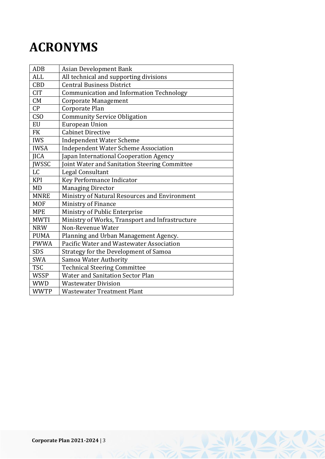## **ACRONYMS**

| <b>ADB</b>      | <b>Asian Development Bank</b>                   |
|-----------------|-------------------------------------------------|
| <b>ALL</b>      | All technical and supporting divisions          |
| <b>CBD</b>      | <b>Central Business District</b>                |
| <b>CIT</b>      | Communication and Information Technology        |
| CM              | Corporate Management                            |
| CP              | Corporate Plan                                  |
| CS <sub>O</sub> | <b>Community Service Obligation</b>             |
| <b>EU</b>       | <b>European Union</b>                           |
| <b>FK</b>       | <b>Cabinet Directive</b>                        |
| <b>IWS</b>      | <b>Independent Water Scheme</b>                 |
| <b>IWSA</b>     | <b>Independent Water Scheme Association</b>     |
| <b>JICA</b>     | Japan International Cooperation Agency          |
| <b>JWSSC</b>    | Joint Water and Sanitation Steering Committee   |
| LC              | Legal Consultant                                |
| <b>KPI</b>      | Key Performance Indicator                       |
| MD              | <b>Managing Director</b>                        |
| <b>MNRE</b>     | Ministry of Natural Resources and Environment   |
| <b>MOF</b>      | Ministry of Finance                             |
| <b>MPE</b>      | Ministry of Public Enterprise                   |
| <b>MWTI</b>     | Ministry of Works, Transport and Infrastructure |
| <b>NRW</b>      | Non-Revenue Water                               |
| <b>PUMA</b>     | Planning and Urban Management Agency.           |
| <b>PWWA</b>     | Pacific Water and Wastewater Association        |
| <b>SDS</b>      | Strategy for the Development of Samoa           |
| <b>SWA</b>      | Samoa Water Authority                           |
| <b>TSC</b>      | <b>Technical Steering Committee</b>             |
| <b>WSSP</b>     | <b>Water and Sanitation Sector Plan</b>         |
| <b>WWD</b>      | <b>Wastewater Division</b>                      |
| <b>WWTP</b>     | <b>Wastewater Treatment Plant</b>               |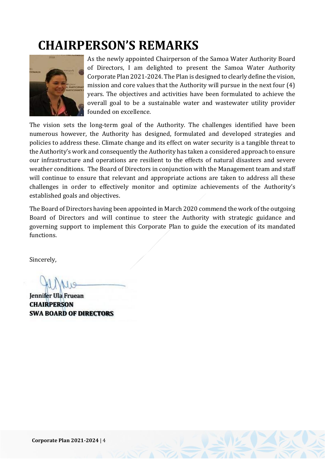## **CHAIRPERSON'S REMARKS**



As the newly appointed Chairperson of the Samoa Water Authority Board of Directors, I am delighted to present the Samoa Water Authority Corporate Plan 2021-2024. The Plan is designed to clearly define the vision, mission and core values that the Authority will pursue in the next four (4) years. The objectives and activities have been formulated to achieve the overall goal to be a sustainable water and wastewater utility provider founded on excellence.

The vision sets the long-term goal of the Authority. The challenges identified have been numerous however, the Authority has designed, formulated and developed strategies and policies to address these. Climate change and its effect on water security is a tangible threat to the Authority's work and consequently the Authority has taken a considered approach to ensure our infrastructure and operations are resilient to the effects of natural disasters and severe weather conditions. The Board of Directors in conjunction with the Management team and staff will continue to ensure that relevant and appropriate actions are taken to address all these challenges in order to effectively monitor and optimize achievements of the Authority's established goals and objectives.

The Board of Directors having been appointed in March 2020 commend the work of the outgoing Board of Directors and will continue to steer the Authority with strategic guidance and governing support to implement this Corporate Plan to guide the execution of its mandated functions.

Sincerely,

Jennifer Ula Fruean **CHAIRPERSON SWA BOARD OF DIRECTORS**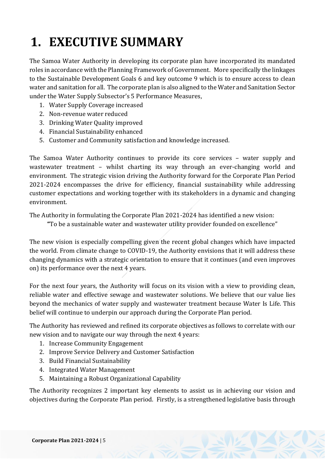## **1. EXECUTIVE SUMMARY**

The Samoa Water Authority in developing its corporate plan have incorporated its mandated roles in accordance with the Planning Framework of Government. More specifically the linkages to the Sustainable Development Goals 6 and key outcome 9 which is to ensure access to clean water and sanitation for all. The corporate plan is also aligned to the Water and Sanitation Sector under the Water Supply Subsector's 5 Performance Measures,

- 1. Water Supply Coverage increased
- 2. Non-revenue water reduced
- 3. Drinking Water Quality improved
- 4. Financial Sustainability enhanced
- 5. Customer and Community satisfaction and knowledge increased.

The Samoa Water Authority continues to provide its core services – water supply and wastewater treatment – whilst charting its way through an ever-changing world and environment. The strategic vision driving the Authority forward for the Corporate Plan Period 2021-2024 encompasses the drive for efficiency, financial sustainability while addressing customer expectations and working together with its stakeholders in a dynamic and changing environment.

The Authority in formulating the Corporate Plan 2021-2024 has identified a new vision:

**"**To be a sustainable water and wastewater utility provider founded on excellence"

The new vision is especially compelling given the recent global changes which have impacted the world. From climate change to COVID-19, the Authority envisions that it will address these changing dynamics with a strategic orientation to ensure that it continues (and even improves on) its performance over the next 4 years.

For the next four years, the Authority will focus on its vision with a view to providing clean, reliable water and effective sewage and wastewater solutions. We believe that our value lies beyond the mechanics of water supply and wastewater treatment because Water Is Life. This belief will continue to underpin our approach during the Corporate Plan period.

The Authority has reviewed and refined its corporate objectives as follows to correlate with our new vision and to navigate our way through the next 4 years:

- 1. Increase Community Engagement
- 2. Improve Service Delivery and Customer Satisfaction
- 3. Build Financial Sustainability
- 4. Integrated Water Management
- 5. Maintaining a Robust Organizational Capability

The Authority recognizes 2 important key elements to assist us in achieving our vision and objectives during the Corporate Plan period. Firstly, is a strengthened legislative basis through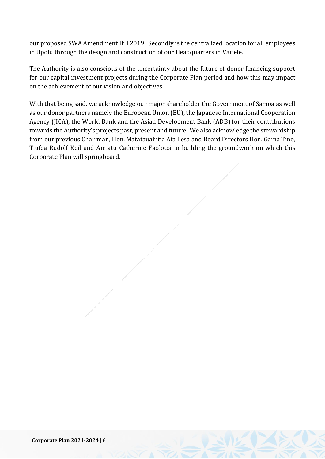our proposed SWA Amendment Bill 2019. Secondly is the centralized location for all employees in Upolu through the design and construction of our Headquarters in Vaitele.

The Authority is also conscious of the uncertainty about the future of donor financing support for our capital investment projects during the Corporate Plan period and how this may impact on the achievement of our vision and objectives.

With that being said, we acknowledge our major shareholder the Government of Samoa as well as our donor partners namely the European Union (EU), the Japanese International Cooperation Agency (JICA), the World Bank and the Asian Development Bank (ADB) for their contributions towards the Authority's projects past, present and future. We also acknowledge the stewardship from our previous Chairman, Hon. Matataualiitia Afa Lesa and Board Directors Hon. Gaina Tino, Tiufea Rudolf Keil and Amiatu Catherine Faolotoi in building the groundwork on which this Corporate Plan will springboard.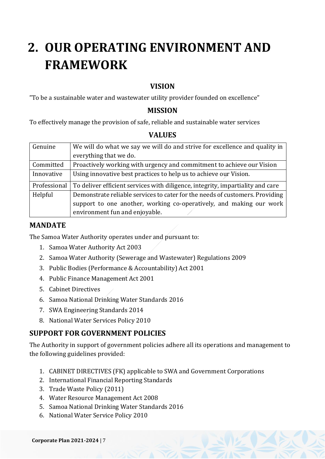## **2. OUR OPERATING ENVIRONMENT AND FRAMEWORK**

## **VISION**

"To be a sustainable water and wastewater utility provider founded on excellence"

## **MISSION**

To effectively manage the provision of safe, reliable and sustainable water services

## **VALUES**

| Genuine      | We will do what we say we will do and strive for excellence and quality in     |
|--------------|--------------------------------------------------------------------------------|
|              | everything that we do.                                                         |
| Committed    | Proactively working with urgency and commitment to achieve our Vision          |
| Innovative   | Using innovative best practices to help us to achieve our Vision.              |
| Professional | To deliver efficient services with diligence, integrity, impartiality and care |
| Helpful      | Demonstrate reliable services to cater for the needs of customers. Providing   |
|              | support to one another, working co-operatively, and making our work            |
|              | environment fun and enjoyable.                                                 |

## **MANDATE**

The Samoa Water Authority operates under and pursuant to:

- 1. Samoa Water Authority Act 2003
- 2. Samoa Water Authority (Sewerage and Wastewater) Regulations 2009
- 3. Public Bodies (Performance & Accountability) Act 2001
- 4. Public Finance Management Act 2001
- 5. Cabinet Directives
- 6. Samoa National Drinking Water Standards 2016
- 7. SWA Engineering Standards 2014
- 8. National Water Services Policy 2010

## **SUPPORT FOR GOVERNMENT POLICIES**

The Authority in support of government policies adhere all its operations and management to the following guidelines provided:

- 1. CABINET DIRECTIVES (FK) applicable to SWA and Government Corporations
- 2. International Financial Reporting Standards
- 3. Trade Waste Policy (2011)
- 4. Water Resource Management Act 2008
- 5. Samoa National Drinking Water Standards 2016
- 6. National Water Service Policy 2010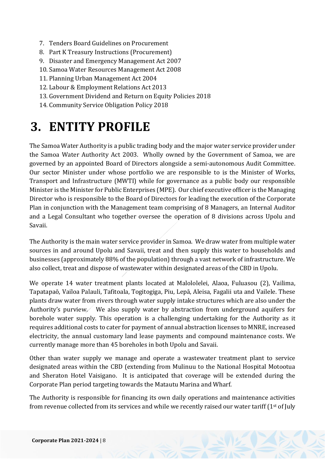- 7. Tenders Board Guidelines on Procurement
- 8. Part K Treasury Instructions (Procurement)
- 9. Disaster and Emergency Management Act 2007
- 10. Samoa Water Resources Management Act 2008
- 11. Planning Urban Management Act 2004
- 12. Labour & Employment Relations Act 2013
- 13. Government Dividend and Return on Equity Policies 2018
- 14. Community Service Obligation Policy 2018

## **3. ENTITY PROFILE**

The Samoa Water Authority is a public trading body and the major water service provider under the Samoa Water Authority Act 2003. Wholly owned by the Government of Samoa, we are governed by an appointed Board of Directors alongside a semi-autonomous Audit Committee. Our sector Minister under whose portfolio we are responsible to is the Minister of Works, Transport and Infrastructure (MWTI) while for governance as a public body our responsible Minister is the Minister for Public Enterprises (MPE). Our chief executive officer is the Managing Director who is responsible to the Board of Directors for leading the execution of the Corporate Plan in conjunction with the Management team comprising of 8 Managers, an Internal Auditor and a Legal Consultant who together oversee the operation of 8 divisions across Upolu and Savaii.

The Authority is the main water service provider in Samoa. We draw water from multiple water sources in and around Upolu and Savaii, treat and then supply this water to households and businesses (approximately 88% of the population) through a vast network of infrastructure. We also collect, treat and dispose of wastewater within designated areas of the CBD in Upolu.

We operate 14 water treatment plants located at Malololelei, Alaoa, Fuluasou (2), Vailima, Tapatapaō, Vailoa Palauli, Tafitoala, Togitogiga, Piu, Lepā, Aleisa, Fagalii uta and Vailele. These plants draw water from rivers through water supply intake structures which are also under the Authority's purview. We also supply water by abstraction from underground aquifers for borehole water supply. This operation is a challenging undertaking for the Authority as it requires additional costs to cater for payment of annual abstraction licenses to MNRE, increased electricity, the annual customary land lease payments and compound maintenance costs. We currently manage more than 45 boreholes in both Upolu and Savaii.

Other than water supply we manage and operate a wastewater treatment plant to service designated areas within the CBD (extending from Mulinuu to the National Hospital Motootua and Sheraton Hotel Vaisigano. It is anticipated that coverage will be extended during the Corporate Plan period targeting towards the Matautu Marina and Wharf.

The Authority is responsible for financing its own daily operations and maintenance activities from revenue collected from its services and while we recently raised our water tariff (1st of July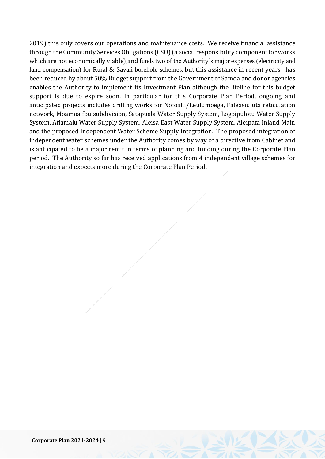2019) this only covers our operations and maintenance costs. We receive financial assistance through the Community Services Obligations (CSO) (a social responsibility component for works which are not economically viable),and funds two of the Authority's major expenses (electricity and land compensation) for Rural & Savaii borehole schemes, but this assistance in recent years has been reduced by about 50%.Budget support from the Government of Samoa and donor agencies enables the Authority to implement its Investment Plan although the lifeline for this budget support is due to expire soon. In particular for this Corporate Plan Period, ongoing and anticipated projects includes drilling works for Nofoalii/Leulumoega, Faleasiu uta reticulation network, Moamoa fou subdivision, Satapuala Water Supply System, Logoipulotu Water Supply System, Afiamalu Water Supply System, Aleisa East Water Supply System, Aleipata Inland Main and the proposed Independent Water Scheme Supply Integration. The proposed integration of independent water schemes under the Authority comes by way of a directive from Cabinet and is anticipated to be a major remit in terms of planning and funding during the Corporate Plan period. The Authority so far has received applications from 4 independent village schemes for integration and expects more during the Corporate Plan Period.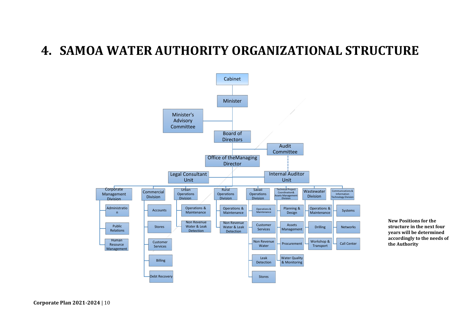## **4. SAMOA WATER AUTHORITY ORGANIZATIONAL STRUCTURE**



**New Positions for the structure in the next four years will be determined accordingly to the needs of the Authority**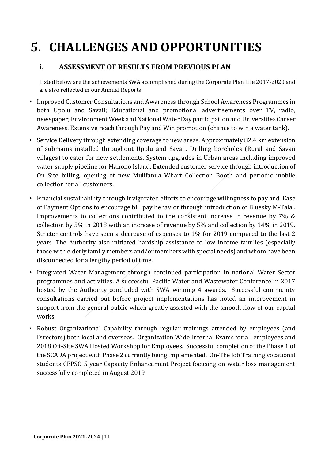## **5. CHALLENGES AND OPPORTUNITIES**

## **i. ASSESSMENT OF RESULTS FROM PREVIOUS PLAN**

Listed below are the achievements SWA accomplished during the Corporate Plan Life 2017-2020 and are also reflected in our Annual Reports:

- Improved Customer Consultations and Awareness through School Awareness Programmes in both Upolu and Savaii; Educational and promotional advertisements over TV, radio, newspaper; Environment Week and National Water Day participation and Universities Career Awareness. Extensive reach through Pay and Win promotion (chance to win a water tank).
- Service Delivery through extending coverage to new areas. Approximately 82.4 km extension of submains installed throughout Upolu and Savaii. Drilling boreholes (Rural and Savaii villages) to cater for new settlements. System upgrades in Urban areas including improved water supply pipeline for Manono Island. Extended customer service through introduction of On Site billing, opening of new Mulifanua Wharf Collection Booth and periodic mobile collection for all customers.
- Financial sustainability through invigorated efforts to encourage willingness to pay and Ease of Payment Options to encourage bill pay behavior through introduction of Bluesky M-Tala . Improvements to collections contributed to the consistent increase in revenue by 7% & collection by 5% in 2018 with an increase of revenue by 5% and collection by 14% in 2019. Stricter controls have seen a decrease of expenses to 1% for 2019 compared to the last 2 years. The Authority also initiated hardship assistance to low income families (especially those with elderly family members and/or members with special needs) and whom have been disconnected for a lengthy period of time.
- Integrated Water Management through continued participation in national Water Sector programmes and activities. A successful Pacific Water and Wastewater Conference in 2017 hosted by the Authority concluded with SWA winning 4 awards. Successful community consultations carried out before project implementations has noted an improvement in support from the general public which greatly assisted with the smooth flow of our capital works.
- Robust Organizational Capability through regular trainings attended by employees (and Directors) both local and overseas. Organization Wide Internal Exams for all employees and 2018 Off-Site SWA Hosted Workshop for Employees. Successful completion of the Phase 1 of the SCADA project with Phase 2 currently being implemented. On-The Job Training vocational students CEPSO 5 year Capacity Enhancement Project focusing on water loss management successfully completed in August 2019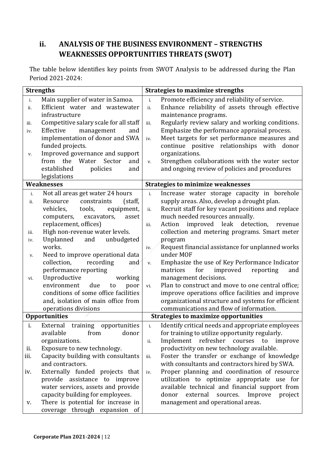## **ii. ANALYSIS OF THE BUSINESS ENVIRONMENT – STRENGTHS WEAKNESSES OPPORTUNITIES THREATS (SWOT)**

The table below identifies key points from SWOT Analysis to be addressed during the Plan Period 2021-2024:

|      | <b>Strengths</b>                       |       | <b>Strategies to maximize strengths</b>             |
|------|----------------------------------------|-------|-----------------------------------------------------|
| i.   | Main supplier of water in Samoa.       | i.    | Promote efficiency and reliability of service.      |
| ii.  | Efficient water and wastewater         | ii.   | Enhance reliability of assets through effective     |
|      | infrastructure                         |       | maintenance programs.                               |
| iii. | Competitive salary scale for all staff | iii.  | Regularly review salary and working conditions.     |
| iv.  | Effective<br>management<br>and         |       | Emphasize the performance appraisal process.        |
|      | implementation of donor and SWA        | iv.   | Meet targets for set performance measures and       |
|      | funded projects.                       |       | continue positive relationships with donor          |
| v.   | Improved governance and support        |       | organizations.                                      |
|      | from the Water<br>Sector<br>and        | v.    | Strengthen collaborations with the water sector     |
|      | established<br>policies<br>and         |       | and ongoing review of policies and procedures       |
|      | legislations                           |       |                                                     |
|      | <b>Weaknesses</b>                      |       | <b>Strategies to minimize weaknesses</b>            |
| i.   | Not all areas get water 24 hours       | i.    | Increase water storage capacity in borehole         |
| ii.  | constraints<br>Resource<br>(staff,     |       | supply areas. Also, develop a drought plan.         |
|      | vehicles,<br>tools,<br>equipment,      | ii.   | Recruit staff for key vacant positions and replace  |
|      | computers,<br>excavators,<br>asset     |       | much needed resources annually.                     |
|      | replacement, offices)                  | iii.  | improved leak detection,<br>Action<br>revenue       |
| iii. | High non-revenue water levels.         |       | collection and metering programs. Smart meter       |
| iv.  | Unplanned<br>unbudgeted<br>and         |       | program                                             |
|      | works.                                 | iv.   | Request financial assistance for unplanned works    |
| V.   | Need to improve operational data       |       | under MOF                                           |
|      | recording<br>collection,<br>and        | v.    | Emphasize the use of Key Performance Indicator      |
|      | performance reporting                  |       | for<br>matrices<br>improved<br>reporting<br>and     |
| vi.  | Unproductive<br>working                |       | management decisions.                               |
|      | environment<br>due<br>to<br>poor       | vi.   | Plan to construct and move to one central office;   |
|      | conditions of some office facilities   |       | improve operations office facilities and improve    |
|      | and, isolation of main office from     |       | organizational structure and systems for efficient  |
|      | operations divisions                   |       | communications and flow of information.             |
|      | <b>Opportunities</b>                   |       | <b>Strategies to maximize opportunities</b>         |
| i.   | External training<br>opportunities     | $i$ . | Identify critical needs and appropriate employees   |
|      | available<br>donor<br>from             |       | for training to utilize opportunity regularly.      |
|      | organizations.                         | ii.   | Implement refresher courses<br>to<br>improve        |
| ii.  | Exposure to new technology.            |       | productivity on new technology available.           |
| iii. | Capacity building with consultants     | iii.  | Foster the transfer or exchange of knowledge        |
|      | and contractors.                       |       | with consultants and contractors hired by SWA.      |
| iv.  | Externally funded projects that        | iv.   | Proper planning and coordination of resource        |
|      | provide assistance to improve          |       | utilization to optimize appropriate use for         |
|      | water services, assets and provide     |       | available technical and financial support from      |
|      | capacity building for employees.       |       | external<br>sources.<br>Improve<br>donor<br>project |
| V.   | There is potential for increase in     |       | management and operational areas.                   |
|      | coverage through expansion of          |       |                                                     |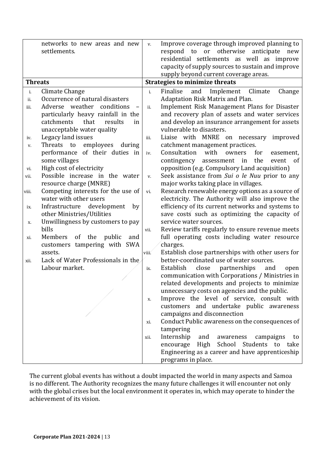|                | networks to new areas and new        | V.    | Improve coverage through improved planning to                                          |
|----------------|--------------------------------------|-------|----------------------------------------------------------------------------------------|
|                | settlements.                         |       | or otherwise<br>respond to<br>anticipate<br>new                                        |
|                |                                      |       | residential settlements as well as improve                                             |
|                |                                      |       | capacity of supply sources to sustain and improve                                      |
|                |                                      |       | supply beyond current coverage areas.                                                  |
| <b>Threats</b> |                                      |       | <b>Strategies to minimize threats</b>                                                  |
| i.             | Climate Change                       | i.    | Finalise<br>and<br>Climate<br>Change<br>Implement                                      |
| ii.            | Occurrence of natural disasters      |       | Adaptation Risk Matrix and Plan.                                                       |
| iii.           | Adverse weather conditions           | ii.   | Implement Risk Management Plans for Disaster                                           |
|                | particularly heavy rainfall in the   |       | and recovery plan of assets and water services                                         |
|                | catchments<br>that<br>results<br>in  |       | and develop an insurance arrangement for assets                                        |
|                | unacceptable water quality           |       | vulnerable to disasters.                                                               |
| iv.            | Legacy land issues                   | iii.  | Liaise with MNRE on necessary<br>improved                                              |
| v.             | employees<br>Threats<br>to<br>during |       | catchment management practices.                                                        |
|                | performance of their duties in       | iv.   | Consultation<br>with<br>owners<br>for<br>easement,                                     |
|                | some villages                        |       | the<br>contingency<br>assessment<br>in<br>event<br>of                                  |
| vi.            | High cost of electricity             |       | opposition (e.g. Compulsory Land acquisition)                                          |
| vii.           | Possible increase in the water       | v.    | Seek assistance from Sui o le Nuu prior to any                                         |
|                | resource charge (MNRE)               |       | major works taking place in villages.                                                  |
| viii.          | Competing interests for the use of   | vi.   | Research renewable energy options as a source of                                       |
|                | water with other users               |       | electricity. The Authority will also improve the                                       |
| ix.            | Infrastructure development<br>by     |       | efficiency of its current networks and systems to                                      |
|                | other Ministries/Utilities           |       | save costs such as optimizing the capacity of                                          |
| х.             | Unwillingness by customers to pay    |       | service water sources.                                                                 |
|                | bills                                | vii.  | Review tariffs regularly to ensure revenue meets                                       |
| xi.            | Members<br>of the<br>public<br>and   |       | full operating costs including water resource                                          |
|                | customers tampering with SWA         |       | charges.                                                                               |
|                | assets.                              | viii. | Establish close partnerships with other users for                                      |
| xii.           | Lack of Water Professionals in the   |       | better-coordinated use of water sources.                                               |
|                | Labour market.                       | ix.   | Establish<br>close<br>partnerships<br>and<br>open                                      |
|                |                                      |       | communication with Corporations / Ministries in                                        |
|                |                                      |       | related developments and projects to minimize                                          |
|                |                                      |       | unnecessary costs on agencies and the public.                                          |
|                |                                      | X.    | Improve the level of service, consult with<br>customers and undertake public awareness |
|                |                                      |       | campaigns and disconnection                                                            |
|                |                                      |       | Conduct Public awareness on the consequences of                                        |
|                |                                      | xi.   | tampering                                                                              |
|                |                                      | xii.  | Internship<br>and<br>awareness<br>campaigns<br>to                                      |
|                |                                      |       | School<br>Students<br>High<br>take<br>encourage<br>to                                  |
|                |                                      |       | Engineering as a career and have apprenticeship                                        |
|                |                                      |       | programs in place.                                                                     |

The current global events has without a doubt impacted the world in many aspects and Samoa is no different. The Authority recognizes the many future challenges it will encounter not only with the global crises but the local environment it operates in, which may operate to hinder the achievement of its vision.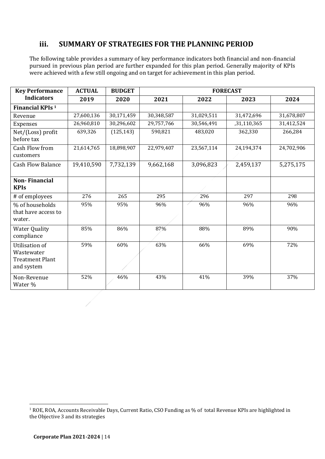## **iii. SUMMARY OF STRATEGIES FOR THE PLANNING PERIOD**

The following table provides a summary of key performance indicators both financial and non-financial pursued in previous plan period are further expanded for this plan period. Generally majority of KPIs were achieved with a few still ongoing and on target for achievement in this plan period.

| <b>Key Performance</b>                                                      | <b>ACTUAL</b> | <b>BUDGET</b> | <b>FORECAST</b> |            |             |            |  |  |  |
|-----------------------------------------------------------------------------|---------------|---------------|-----------------|------------|-------------|------------|--|--|--|
| <b>Indicators</b>                                                           | 2019          | 2020          | 2021            | 2022       | 2023        | 2024       |  |  |  |
| Financial KPIs <sup>1</sup>                                                 |               |               |                 |            |             |            |  |  |  |
| Revenue                                                                     | 27,600,136    | 30,171,459    | 30,348,587      | 31,029,511 | 31,472,696  | 31,678,807 |  |  |  |
| Expenses                                                                    | 26,960,810    | 30,296,602    | 29,757,766      | 30,546,491 | ,31,110,365 | 31,412,524 |  |  |  |
| Net/(Loss) profit<br>before tax                                             | 639,326       | (125, 143)    | 590,821         | 483,020    | 362,330     | 266,284    |  |  |  |
| Cash Flow from<br>customers                                                 | 21,614,765    | 18,898,907    | 22,979,407      | 23,567,114 | 24,194,374  | 24,702,906 |  |  |  |
| <b>Cash Flow Balance</b>                                                    | 19,410,590    | 7,732,139     | 9,662,168       | 3,096,823  | 2,459,137   | 5,275,175  |  |  |  |
| <b>Non-Financial</b><br><b>KPIs</b>                                         |               |               |                 |            |             |            |  |  |  |
| # of employees                                                              | 276           | 265           | 295             | 296        | 297         | 298        |  |  |  |
| % of households<br>that have access to<br>water.                            | 95%           | 95%           | 96%             | 96%        | 96%         | 96%        |  |  |  |
| <b>Water Quality</b><br>compliance                                          | 85%           | 86%           | 87%             | 88%        | 89%         | 90%        |  |  |  |
| <b>Utilisation of</b><br>Wastewater<br><b>Treatment Plant</b><br>and system | 59%           | 60%           | 63%             | 66%        | 69%         | 72%        |  |  |  |
| Non-Revenue<br>Water %                                                      | 52%           | 46%           | 43%             | 41%        | 39%         | 37%        |  |  |  |
|                                                                             |               |               |                 |            |             |            |  |  |  |

<sup>&</sup>lt;sup>1</sup> ROE, ROA, Accounts Receivable Days, Current Ratio, CSO Funding as % of total Revenue KPIs are highlighted in the Objective 3 and its strategies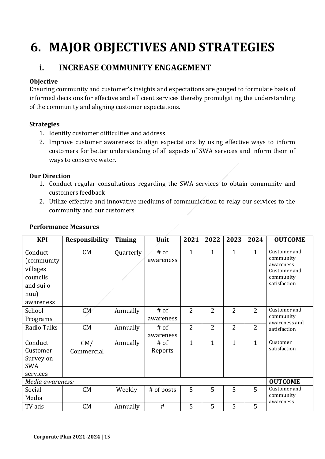## **6. MAJOR OBJECTIVES AND STRATEGIES**

## **i. INCREASE COMMUNITY ENGAGEMENT**

## **Objective**

Ensuring community and customer's insights and expectations are gauged to formulate basis of informed decisions for effective and efficient services thereby promulgating the understanding of the community and aligning customer expectations.

## **Strategies**

- 1. Identify customer difficulties and address
- 2. Improve customer awareness to align expectations by using effective ways to inform customers for better understanding of all aspects of SWA services and inform them of ways to conserve water.

## **Our Direction**

- 1. Conduct regular consultations regarding the SWA services to obtain community and customers feedback
- 2. Utilize effective and innovative mediums of communication to relay our services to the community and our customers

| <b>KPI</b>       | <b>Responsibility</b> | <b>Timing</b> | Unit       | 2021           | 2022           | 2023           | 2024           | <b>OUTCOME</b>             |
|------------------|-----------------------|---------------|------------|----------------|----------------|----------------|----------------|----------------------------|
| Conduct          | CM                    | Quarterly     | $#$ of     | $\mathbf{1}$   | $\mathbf{1}$   | $\mathbf{1}$   | $\mathbf{1}$   | Customer and               |
| (community)      |                       |               | awareness  |                |                |                |                | community<br>awareness     |
| villages         |                       |               |            |                |                |                |                | Customer and               |
| councils         |                       |               |            |                |                |                |                | community                  |
| and sui o        |                       |               |            |                |                |                |                | satisfaction               |
| nuu)             |                       |               |            |                |                |                |                |                            |
| awareness        |                       |               |            |                |                |                |                |                            |
| School           | CM                    | Annually      | $#$ of     | $\overline{2}$ | 2              | $\overline{2}$ | $\overline{2}$ | Customer and               |
| Programs         |                       |               | awareness  |                |                |                |                | community<br>awareness and |
| Radio Talks      | CM                    | Annually      | $#$ of     | $\overline{2}$ | $\overline{2}$ | $\overline{2}$ | $\overline{2}$ | satisfaction               |
|                  |                       |               | awareness  |                |                |                |                |                            |
| Conduct          | CM/                   | Annually      | $#$ of     | 1              | $\mathbf{1}$   | $\mathbf{1}$   | $\mathbf{1}$   | Customer                   |
| Customer         | Commercial            |               | Reports    |                |                |                |                | satisfaction               |
| Survey on        |                       |               |            |                |                |                |                |                            |
| SWA              |                       |               |            |                |                |                |                |                            |
| services         |                       |               |            |                |                |                |                |                            |
| Media awareness: |                       |               |            |                |                |                |                | <b>OUTCOME</b>             |
| Social           | CM                    | Weekly        | # of posts | 5              | 5              | 5              | 5              | Customer and               |
| Media            |                       |               |            |                |                |                |                | community<br>awareness     |
| TV ads           | CM                    | Annually      | #          | 5              | 5              | 5              | 5              |                            |

## **Performance Measures**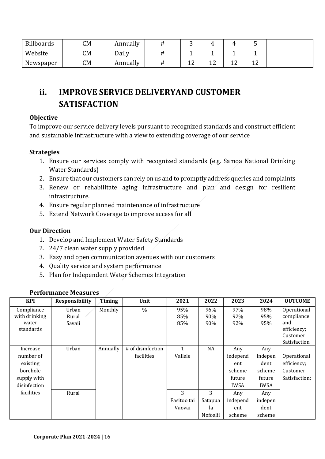| <b>Billboards</b> | CM | Annually |                |        |             |              |
|-------------------|----|----------|----------------|--------|-------------|--------------|
| Website           | CM | Daily    |                |        |             |              |
| Newspaper         | CМ | Annually | $\overline{ }$ | $\sim$ | $\sim$<br>∸ | $\sim$<br>∸∸ |

## **ii. IMPROVE SERVICE DELIVERYAND CUSTOMER SATISFACTION**

## **Objective**

To improve our service delivery levels pursuant to recognized standards and construct efficient and sustainable infrastructure with a view to extending coverage of our service

## **Strategies**

- 1. Ensure our services comply with recognized standards (e.g. Samoa National Drinking Water Standards)
- 2. Ensure that our customers can rely on us and to promptly address queries and complaints
- 3. Renew or rehabilitate aging infrastructure and plan and design for resilient infrastructure.
- 4. Ensure regular planned maintenance of infrastructure
- 5. Extend Network Coverage to improve access for all

## **Our Direction**

- 1. Develop and Implement Water Safety Standards
- 2. 24/7 clean water supply provided
- 3. Easy and open communication avenues with our customers
- 4. Quality service and system performance
- 5. Plan for Independent Water Schemes Integration

| <b>KPI</b>    | <b>Responsibility</b> | Timing   | Unit              | 2021        | 2022     | 2023        | 2024        | <b>OUTCOME</b> |
|---------------|-----------------------|----------|-------------------|-------------|----------|-------------|-------------|----------------|
| Compliance    | Urban                 | Monthly  | $\frac{0}{0}$     | 95%         | 96%      | 97%         | 98%         | Operational    |
| with drinking | Rural                 |          |                   | 85%         | 90%      | 92%         | 95%         | compliance     |
| water         | Savaii                |          |                   | 85%         | 90%      | 92%         | 95%         | and            |
| standards     |                       |          |                   |             |          |             |             | efficiency;    |
|               |                       |          |                   |             |          |             |             | Customer       |
|               |                       |          |                   |             |          |             |             | Satisfaction   |
| Increase      | Urban                 | Annually | # of disinfection | 1           | NA       | Any         | Any         |                |
| number of     |                       |          | facilities        | Vailele     |          | independ    | indepen     | Operational    |
| existing      |                       |          |                   |             |          | ent         | dent        | efficiency;    |
| borehole      |                       |          |                   |             |          | scheme      | scheme      | Customer       |
| supply with   |                       |          |                   |             |          | future      | future      | Satisfaction;  |
| disinfection  |                       |          |                   |             |          | <b>IWSA</b> | <b>IWSA</b> |                |
| facilities    | Rural                 |          |                   | 3           | 3        | Any         | Any         |                |
|               |                       |          |                   | Fasitoo tai | Satapua  | independ    | indepen     |                |
|               |                       |          |                   | Vaovai      | la       | ent         | dent        |                |
|               |                       |          |                   |             | Nofoalii | scheme      | scheme      |                |

## **Performance Measures**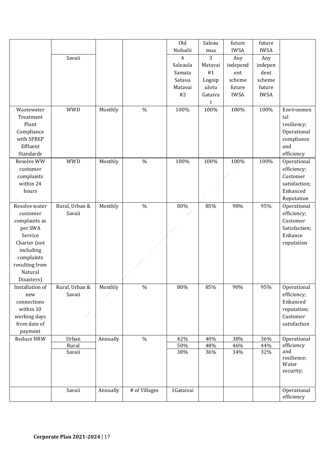|                 |                          |          |               | Old        | Saleau     | future      | future      |                            |
|-----------------|--------------------------|----------|---------------|------------|------------|-------------|-------------|----------------------------|
|                 |                          |          |               | Nofoalii   | mua        | <b>IWSA</b> | <b>IWSA</b> |                            |
|                 | Savaii                   |          |               | 4          | 3          | Any         | Any         |                            |
|                 |                          |          |               | Saleaula   | Matavai    | independ    | indepen     |                            |
|                 |                          |          |               | Samata     | #1         | ent         | dent        |                            |
|                 |                          |          |               | Sataua     | Logoip     | scheme      | scheme      |                            |
|                 |                          |          |               | Matavai    | ulotu      | future      | future      |                            |
|                 |                          |          |               | #2         | Gataiva    | <b>IWSA</b> | <b>IWSA</b> |                            |
|                 |                          |          |               |            |            |             |             |                            |
| Wastewater      | <b>WWD</b>               | Monthly  | $\frac{0}{0}$ | 100%       | 100%       | 100%        | 100%        | Environmen                 |
| Treatment       |                          |          |               |            |            |             |             | tal                        |
| Plant           |                          |          |               |            |            |             |             | resiliency;                |
| Compliance      |                          |          |               |            |            |             |             | Operational                |
| with SPREP      |                          |          |               |            |            |             |             | compliance                 |
| Effluent        |                          |          |               |            |            |             |             | and                        |
| Standards       |                          |          |               |            |            |             |             | efficiency                 |
| Resolve WW      | <b>WWD</b>               | Monthly  | $\frac{0}{0}$ | 100%       | 100%       | 100%        | 100%        | Operational                |
| customer        |                          |          |               |            |            |             |             | efficiency;                |
| complaints      |                          |          |               |            |            |             |             | Customer                   |
| within 24       |                          |          |               |            |            |             |             | satisfaction;              |
| hours           |                          |          |               |            |            |             |             | Enhanced                   |
|                 |                          |          |               |            |            |             |             | Reputation                 |
| Resolve water   | Rural, Urban &           | Monthly  | $\frac{0}{0}$ | 80%        | 85%        | 90%         | 95%         | Operational                |
| customer        | Savaii                   |          |               |            |            |             |             | efficiency;                |
| complaints as   |                          |          |               |            |            |             |             | Customer                   |
| per SWA         |                          |          |               |            |            |             |             | Satisfaction;              |
| Service         |                          |          |               |            |            |             |             | Enhance                    |
| Charter (not    |                          |          |               |            |            |             |             | reputation                 |
| including       |                          |          |               |            |            |             |             |                            |
| complaints      |                          |          |               |            |            |             |             |                            |
| resulting from  |                          |          |               |            |            |             |             |                            |
| Natural         |                          |          |               |            |            |             |             |                            |
| Disasters)      |                          |          |               |            |            |             |             |                            |
| Installation of |                          |          | $\%$          |            |            | 90%         | 95%         |                            |
|                 | Rural, Urban &<br>Savaii | Monthly  |               | 80%        | 85%        |             |             | Operational<br>efficiency; |
| new             |                          |          |               |            |            |             |             | Enhanced                   |
| connections     |                          |          |               |            |            |             |             |                            |
| within 10       |                          |          |               |            |            |             |             | reputation;                |
| working days    |                          |          |               |            |            |             |             | Customer                   |
| from date of    |                          |          |               |            |            |             |             | satisfaction               |
| payment         |                          |          |               |            |            |             |             |                            |
| Reduce NRW      | Urban                    | Annually | $\%$          | 42%        | 40%        | 38%         | 36%         | Operational<br>efficiency  |
|                 | Rural<br>Savaii          |          |               | 50%<br>38% | 48%<br>36% | 46%<br>34%  | 44%<br>32%  | and                        |
|                 |                          |          |               |            |            |             |             | resilience;                |
|                 |                          |          |               |            |            |             |             | Water                      |
|                 |                          |          |               |            |            |             |             | security;                  |
|                 |                          |          |               |            |            |             |             |                            |
|                 |                          |          |               |            |            |             |             |                            |
|                 | Savaii                   | Annually | # of Villages | 1Gataivai  |            |             |             | Operational                |
|                 |                          |          |               |            |            |             |             | efficiency                 |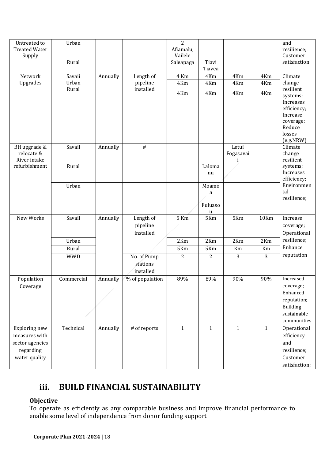| Untreated to<br><b>Treated Water</b><br>Supply                                  | Urban<br>Rural |          |                                      | $\overline{2}$<br>Afiamalu,<br>Vailele<br>Saleapaga | Tiavi<br>Tiavea                      |                         |                                                                                                | and<br>resilience;<br>Customer<br>satisfaction                                              |
|---------------------------------------------------------------------------------|----------------|----------|--------------------------------------|-----------------------------------------------------|--------------------------------------|-------------------------|------------------------------------------------------------------------------------------------|---------------------------------------------------------------------------------------------|
| Network                                                                         | Savaii         | Annually | Length of                            | 4 Km                                                | 4Km                                  | 4Km                     | 4Km                                                                                            | Climate                                                                                     |
| Upgrades                                                                        | Urban<br>Rural |          | pipeline<br>installed                | 4Km                                                 | 4Km                                  | 4Km                     | 4Km                                                                                            | change<br>resilient                                                                         |
|                                                                                 |                |          | 4Km                                  | 4Km                                                 | 4Km                                  | 4Km                     | systems;<br>Increases<br>efficiency;<br>Increase<br>coverage;<br>Reduce<br>losses<br>(e.g.NRW) |                                                                                             |
| BH upgrade &<br>relocate &<br>River intake                                      | Savaii         | Annually | $\#$                                 |                                                     |                                      | Letui<br>Fogasavai<br>1 |                                                                                                | Climate<br>change<br>resilient                                                              |
| refurbishment                                                                   | Rural          |          |                                      |                                                     | Laloma<br>nu                         |                         |                                                                                                | systems;<br>Increases<br>efficiency;                                                        |
|                                                                                 | Urban          |          |                                      |                                                     | Moamo<br>a<br>Fuluaso<br>$\mathbf u$ |                         |                                                                                                | Environmen<br>tal<br>resilience;                                                            |
| New Works                                                                       | Savaii         | Annually | Length of<br>pipeline<br>installed   | $5$ Km                                              | 5Km                                  | 5Km                     | <b>10Km</b>                                                                                    | Increase<br>coverage;<br>Operational                                                        |
|                                                                                 | Urban          |          |                                      | 2Km                                                 | 2Km                                  | 2Km                     | 2Km                                                                                            | resilience;                                                                                 |
|                                                                                 | Rural          |          |                                      | 5Km                                                 | 5Km                                  | Km                      | Km                                                                                             | Enhance                                                                                     |
|                                                                                 | <b>WWD</b>     |          | No. of Pump<br>stations<br>installed | $\overline{2}$                                      | $\overline{2}$                       | 3                       | 3                                                                                              | reputation                                                                                  |
| Population<br>Coverage                                                          | Commercial     | Annually | % of population                      | 89%                                                 | 89%                                  | 90%                     | 90%                                                                                            | Increased<br>coverage;<br>Enhanced<br>reputation;<br>Building<br>sustainable<br>communities |
| Exploring new<br>measures with<br>sector agencies<br>regarding<br>water quality | Technical      | Annually | # of reports                         | $\mathbf{1}$                                        | $\mathbf{1}$                         | $\mathbf{1}$            | $\mathbf{1}$                                                                                   | Operational<br>efficiency<br>and<br>resilience;<br>Customer<br>satisfaction;                |

## **iii. BUILD FINANCIAL SUSTAINABILITY**

## **Objective**

To operate as efficiently as any comparable business and improve financial performance to enable some level of independence from donor funding support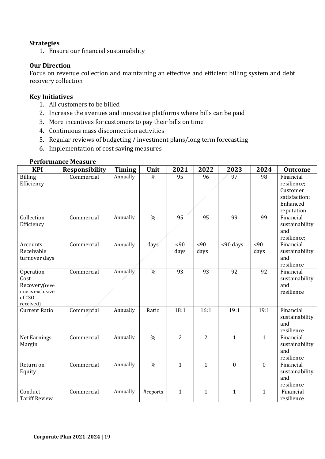### **Strategies**

1. Ensure our financial sustainability

## **Our Direction**

Focus on revenue collection and maintaining an effective and efficient billing system and debt recovery collection

#### **Key Initiatives**

- 1. All customers to be billed
- 2. Increase the avenues and innovative platforms where bills can be paid
- 3. More incentives for customers to pay their bills on time
- 4. Continuous mass disconnection activities
- 5. Regular reviews of budgeting / investment plans/long term forecasting
- 6. Implementation of cost saving measures

#### **Performance Measure**

| <b>KPI</b>                                                                    | Responsibility | <b>Timing</b> | Unit          | 2021           | 2022           | 2023         | 2024         | <b>Outcome</b>                                                                  |
|-------------------------------------------------------------------------------|----------------|---------------|---------------|----------------|----------------|--------------|--------------|---------------------------------------------------------------------------------|
| <b>Billing</b><br>Efficiency                                                  | Commercial     | Annually      | $\frac{0}{0}$ | 95             | 96             | 97           | 98           | Financial<br>resilience;<br>Customer<br>satisfaction;<br>Enhanced<br>reputation |
| Collection<br>Efficiency                                                      | Commercial     | Annually      | $\frac{0}{0}$ | 95             | 95             | 99           | 99           | Financial<br>sustainability<br>and<br>resilience;                               |
| Accounts<br>Receivable<br>turnover days                                       | Commercial     | Annually      | days          | <90<br>days    | <90<br>days    | <90 days     | <90<br>days  | Financial<br>sustainability<br>and<br>resilience                                |
| Operation<br>Cost<br>Recovery(reve<br>nue is exclusive<br>of CSO<br>received) | Commercial     | Annually      | $\frac{0}{0}$ | 93             | 93             | 92           | 92           | Financial<br>sustainability<br>and<br>resilience                                |
| <b>Current Ratio</b>                                                          | Commercial     | Annually      | Ratio         | 18:1           | 16:1           | 19:1         | 19:1         | Financial<br>sustainability<br>and<br>resilience                                |
| Net Earnings<br>Margin                                                        | Commercial     | Annually      | $\frac{0}{0}$ | $\overline{2}$ | $\overline{2}$ | $\mathbf{1}$ | $\mathbf{1}$ | Financial<br>sustainability<br>and<br>resilience                                |
| Return on<br>Equity                                                           | Commercial     | Annually      | $\frac{0}{0}$ | $\mathbf{1}$   | $\mathbf{1}$   | $\mathbf{0}$ | $\mathbf{0}$ | Financial<br>sustainability<br>and<br>resilience                                |
| Conduct<br><b>Tariff Review</b>                                               | Commercial     | Annually      | #reports      | $\mathbf{1}$   | $\mathbf{1}$   | $\mathbf{1}$ | $\mathbf{1}$ | Financial<br>resilience                                                         |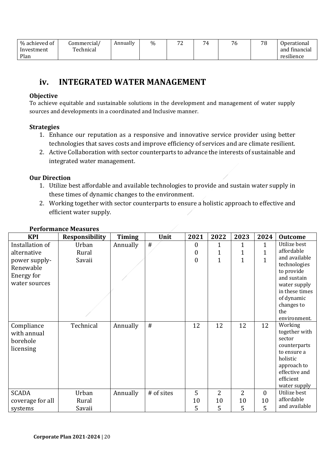| % achieved of | Commercial/ | Annually | $\%$ | $\mathbf{a}$ | 74 | 76 | 78 | Operational   |
|---------------|-------------|----------|------|--------------|----|----|----|---------------|
| Investment    | Technical   |          |      |              |    |    |    | and financial |
| Plan          |             |          |      |              |    |    |    | resilience    |

## **iv. INTEGRATED WATER MANAGEMENT**

### **Objective**

To achieve equitable and sustainable solutions in the development and management of water supply sources and developments in a coordinated and Inclusive manner.

### **Strategies**

- 1. Enhance our reputation as a responsive and innovative service provider using better technologies that saves costs and improve efficiency of services and are climate resilient.
- 2. Active Collaboration with sector counterparts to advance the interests of sustainable and integrated water management.

## **Our Direction**

- 1. Utilize best affordable and available technologies to provide and sustain water supply in these times of dynamic changes to the environment.
- 2. Working together with sector counterparts to ensure a holistic approach to effective and efficient water supply.

| <b>KPI</b>       | <b>Responsibility</b> | <b>Timing</b> | Unit       | 2021           | 2022           | 2023           | 2024         | <b>Outcome</b>              |
|------------------|-----------------------|---------------|------------|----------------|----------------|----------------|--------------|-----------------------------|
| Installation of  | Urban                 | Annually      | #          | $\mathbf{0}$   | 1              | 1              | 1            | Utilize best                |
| alternative      | Rural                 |               |            | $\overline{0}$ | 1              | 1              | 1            | affordable                  |
| power supply-    | Savaii                |               |            | $\mathbf{0}$   | 1              | $\overline{1}$ | $\mathbf{1}$ | and available               |
| Renewable        |                       |               |            |                |                |                |              | technologies                |
| Energy for       |                       |               |            |                |                |                |              | to provide<br>and sustain   |
| water sources    |                       |               |            |                |                |                |              | water supply                |
|                  |                       |               |            |                |                |                |              | in these times              |
|                  |                       |               |            |                |                |                |              | of dynamic                  |
|                  |                       |               |            |                |                |                |              | changes to                  |
|                  |                       |               |            |                |                |                |              | the                         |
|                  |                       |               |            |                |                |                |              | environment.                |
| Compliance       | Technical             | Annually      | #          | 12             | 12             | 12             | 12           | Working                     |
| with annual      |                       |               |            |                |                |                |              | together with               |
| borehole         |                       |               |            |                |                |                |              | sector                      |
| licensing        |                       |               |            |                |                |                |              | counterparts<br>to ensure a |
|                  |                       |               |            |                |                |                |              | holistic                    |
|                  |                       |               |            |                |                |                |              | approach to                 |
|                  |                       |               |            |                |                |                |              | effective and               |
|                  |                       |               |            |                |                |                |              | efficient                   |
|                  |                       |               |            |                |                |                |              | water supply                |
| <b>SCADA</b>     | Urban                 | Annually      | # of sites | 5              | $\overline{2}$ | $\overline{2}$ | $\mathbf{0}$ | Utilize best                |
| coverage for all | Rural                 |               |            | 10             | 10             | 10             | 10           | affordable                  |
| systems          | Savaii                |               |            | 5              | 5              | 5              | 5            | and available               |

## **Performance Measures**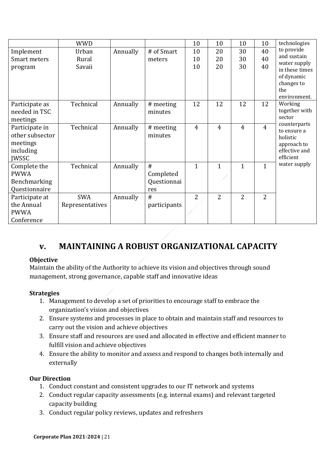|                     | <b>WWD</b>      |          |              | 10             | 10             | 10             | 10             | technologies              |
|---------------------|-----------------|----------|--------------|----------------|----------------|----------------|----------------|---------------------------|
| Implement           | Urban           | Annually | # of Smart   | 10             | 20             | 30             | 40             | to provide<br>and sustain |
| <b>Smart meters</b> | Rural           |          | meters       | 10             | 20             | 30             | 40             | water supply              |
| program             | Savaii          |          |              | 10             | 20             | 30             | 40             | in these times            |
|                     |                 |          |              |                |                |                |                | of dynamic                |
|                     |                 |          |              |                |                |                |                | changes to                |
|                     |                 |          |              |                |                |                |                | the                       |
|                     |                 |          |              |                |                |                |                | environment.              |
| Participate as      | Technical       | Annually | # meeting    | 12             | 12             | 12             | 12             | Working                   |
| needed in TSC       |                 |          | minutes      |                |                |                |                | together with<br>sector   |
| meetings            |                 |          |              |                |                |                |                | counterparts              |
| Participate in      | Technical       | Annually | # meeting    | $\overline{4}$ | $\overline{4}$ | $\overline{4}$ | $\overline{4}$ | to ensure a               |
| other subsector     |                 |          | minutes      |                |                |                |                | holistic                  |
| meetings            |                 |          |              |                |                |                |                | approach to               |
| including           |                 |          |              |                |                |                |                | effective and             |
| <b>JWSSC</b>        |                 |          |              |                |                |                |                | efficient                 |
| Complete the        | Technical       | Annually | #            | $\mathbf{1}$   | $\mathbf{1}$   | $\mathbf{1}$   | $\mathbf{1}$   | water supply              |
| <b>PWWA</b>         |                 |          | Completed    |                |                |                |                |                           |
| Benchmarking        |                 |          | Questionnai  |                |                |                |                |                           |
| Questionnaire       |                 |          | res          |                |                |                |                |                           |
| Participate at      | <b>SWA</b>      | Annually | #            | $\overline{2}$ | $\overline{2}$ | $\overline{2}$ | $\overline{2}$ |                           |
| the Annual          | Representatives |          | participants |                |                |                |                |                           |
| <b>PWWA</b>         |                 |          |              |                |                |                |                |                           |
| Conference          |                 |          |              |                |                |                |                |                           |

## **v. MAINTAINING A ROBUST ORGANIZATIONAL CAPACITY**

### **Objective**

Maintain the ability of the Authority to achieve its vision and objectives through sound management, strong governance, capable staff and innovative ideas

## **Strategies**

- 1. Management to develop a set of priorities to encourage staff to embrace the organization's vision and objectives
- 2. Ensure systems and processes in place to obtain and maintain staff and resources to carry out the vision and achieve objectives
- 3. Ensure staff and resources are used and allocated in effective and efficient manner to fulfill vision and achieve objectives
- 4. Ensure the ability to monitor and assess and respond to changes both internally and externally

## **Our Direction**

- 1. Conduct constant and consistent upgrades to our IT network and systems
- 2. Conduct regular capacity assessments (e.g. internal exams) and relevant targeted capacity building
- 3. Conduct regular policy reviews, updates and refreshers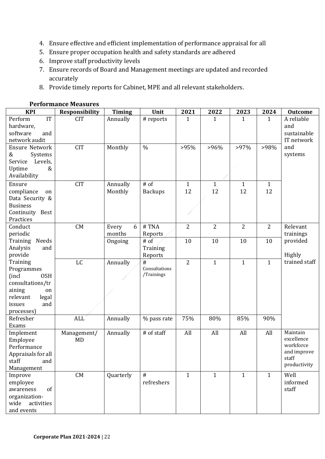- 4. Ensure effective and efficient implementation of performance appraisal for all
- 5. Ensure proper occupation health and safety standards are adhered
- 6. Improve staff productivity levels
- 7. Ensure records of Board and Management meetings are updated and recorded accurately
- 8. Provide timely reports for Cabinet, MPE and all relevant stakeholders.

| <b>KPI</b>                                                                                                                             | <b>Responsibility</b> | <b>Timing</b>        | Unit                             | 2021               | 2022               | 2023               | 2024               | <b>Outcome</b>                                                              |
|----------------------------------------------------------------------------------------------------------------------------------------|-----------------------|----------------------|----------------------------------|--------------------|--------------------|--------------------|--------------------|-----------------------------------------------------------------------------|
| IT<br>Perform<br>hardware,<br>software<br>and<br>network audit                                                                         | <b>CIT</b>            | Annually             | # reports                        | $\mathbf{1}$       | 1                  | 1                  | $\mathbf{1}$       | A reliable<br>and<br>sustainable<br>IT network                              |
| <b>Ensure Network</b><br>&<br>Systems<br>Levels,<br>Service<br>Uptime<br>&<br>Availability                                             | <b>CIT</b>            | Monthly              | $\frac{0}{0}$                    | >95%               | $>96\%$            | $>97\%$            | >98%               | and<br>systems                                                              |
| Ensure<br>compliance<br>on<br>Data Security &<br><b>Business</b><br>Continuity Best<br>Practices                                       | <b>CIT</b>            | Annually<br>Monthly  | $#$ of<br><b>Backups</b>         | $\mathbf{1}$<br>12 | $\mathbf{1}$<br>12 | $\mathbf{1}$<br>12 | $\mathbf{1}$<br>12 |                                                                             |
| Conduct<br>periodic                                                                                                                    | CM                    | 6<br>Every<br>months | #TNA<br>Reports                  | $\overline{2}$     | $\overline{2}$     | $\overline{2}$     | $\overline{2}$     | Relevant<br>trainings                                                       |
| Needs<br>Training<br>Analysis<br>and<br>provide                                                                                        |                       | Ongoing              | # of<br>Training<br>Reports      | 10                 | 10                 | 10                 | 10                 | provided<br><b>Highly</b>                                                   |
| Training<br>Programmes<br><b>OSH</b><br>(incl)<br>consultations/tr<br>aining<br>on<br>relevant<br>legal<br>issues<br>and<br>processes) | LC                    | Annually             | #<br>Consultations<br>/Trainings | $\overline{2}$     | $\mathbf{1}$       | $\mathbf{1}$       | $\mathbf{1}$       | trained staff                                                               |
| Refresher<br>Exams                                                                                                                     | <b>ALL</b>            | Annually             | % pass rate                      | 75%                | 80%                | 85%                | 90%                |                                                                             |
| Implement<br>Employee<br>Performance<br>Appraisals for all<br>staff<br>and<br>Management                                               | Management/<br>MD     | Annually             | # of staff                       | All                | All                | All                | All                | Maintain<br>excellence<br>workforce<br>and improve<br>staff<br>productivity |
| Improve<br>employee<br>of<br>awareness<br>organization-<br>wide activities<br>and events                                               | CM                    | Quarterly            | #<br>refreshers                  | $\mathbf{1}$       | $\mathbf{1}$       | $\mathbf{1}$       | $\mathbf{1}$       | Well<br>informed<br>staff                                                   |

#### **Performance Measures**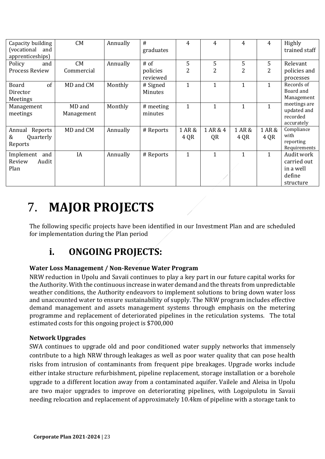| Capacity building<br>(vocational<br>and<br>apprenticeships) | CM                   | Annually | #<br>graduates       | 4              | 4              | 4              | 4              | Highly<br>trained staff                                       |
|-------------------------------------------------------------|----------------------|----------|----------------------|----------------|----------------|----------------|----------------|---------------------------------------------------------------|
| Policy<br>and                                               | CM                   | Annually | $#$ of               | 5              | 5              | 5              | 5              | Relevant                                                      |
| Process Review                                              | Commercial           |          | policies<br>reviewed | 2              | 2              | 2              | 2              | policies and<br>processes                                     |
| of<br>Board<br>Director<br>Meetings                         | MD and CM            | Monthly  | # Signed<br>Minutes  | $\mathbf{1}$   | $\mathbf{1}$   | 1              | 1              | Records of<br>Board and<br>Management                         |
| Management<br>meetings                                      | MD and<br>Management | Monthly  | # meeting<br>minutes | $\mathbf{1}$   | $\mathbf{1}$   | 1              |                | meetings are<br>updated and<br>recorded<br>accurately         |
| Annual Reports<br>Quarterly<br>&<br>Reports                 | MD and CM            | Annually | # Reports            | 1 AR &<br>4 QR | 1 AR & 4<br>QR | 1 AR &<br>4 QR | 1 AR &<br>4 QR | Compliance<br>with<br>reporting<br>Requirements               |
| Implement<br>and<br>Review<br>Audit<br>Plan                 | IA                   | Annually | # Reports            | $\mathbf{1}$   | $\mathbf{1}$   | 1              | 1              | Audit work<br>carried out<br>in a well<br>define<br>structure |

## 7. **MAJOR PROJECTS**

The following specific projects have been identified in our Investment Plan and are scheduled for implementation during the Plan period

## **i. ONGOING PROJECTS:**

## **Water Loss Management / Non-Revenue Water Program**

NRW reduction in Upolu and Savaii continues to play a key part in our future capital works for the Authority. With the continuous increase in water demand and the threats from unpredictable weather conditions, the Authority endeavors to implement solutions to bring down water loss and unaccounted water to ensure sustainability of supply. The NRW program includes effective demand management and assets management systems through emphasis on the metering programme and replacement of deteriorated pipelines in the reticulation systems. The total estimated costs for this ongoing project is \$700,000

## **Network Upgrades**

SWA continues to upgrade old and poor conditioned water supply networks that immensely contribute to a high NRW through leakages as well as poor water quality that can pose health risks from intrusion of contaminants from frequent pipe breakages. Upgrade works include either intake structure refurbishment, pipeline replacement, storage installation or a borehole upgrade to a different location away from a contaminated aquifer. Vailele and Aleisa in Upolu are two major upgrades to improve on deteriorating pipelines, with Logoipulotu in Savaii needing relocation and replacement of approximately 10.4km of pipeline with a storage tank to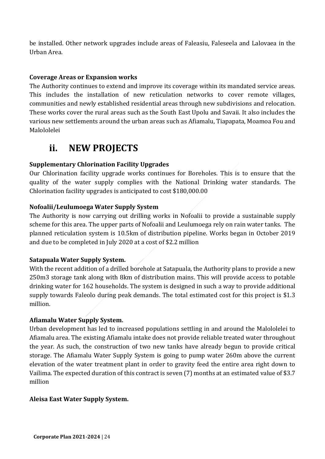be installed. Other network upgrades include areas of Faleasiu, Faleseela and Lalovaea in the Urban Area.

## **Coverage Areas or Expansion works**

The Authority continues to extend and improve its coverage within its mandated service areas. This includes the installation of new reticulation networks to cover remote villages, communities and newly established residential areas through new subdivisions and relocation. These works cover the rural areas such as the South East Upolu and Savaii. It also includes the various new settlements around the urban areas such as Afiamalu, Tiapapata, Moamoa Fou and Malololelei

## **ii. NEW PROJECTS**

## **Supplementary Chlorination Facility Upgrades**

Our Chlorination facility upgrade works continues for Boreholes. This is to ensure that the quality of the water supply complies with the National Drinking water standards. The Chlorination facility upgrades is anticipated to cost \$180,000.00

### **Nofoalii/Leulumoega Water Supply System**

The Authority is now carrying out drilling works in Nofoalii to provide a sustainable supply scheme for this area. The upper parts of Nofoalii and Leulumoega rely on rain water tanks. The planned reticulation system is 10.5km of distribution pipeline. Works began in October 2019 and due to be completed in July 2020 at a cost of \$2.2 million

### **Satapuala Water Supply System.**

With the recent addition of a drilled borehole at Satapuala, the Authority plans to provide a new 250m3 storage tank along with 8km of distribution mains. This will provide access to potable drinking water for 162 households. The system is designed in such a way to provide additional supply towards Faleolo during peak demands. The total estimated cost for this project is \$1.3 million.

### **Afiamalu Water Supply System.**

Urban development has led to increased populations settling in and around the Malololelei to Afiamalu area. The existing Afiamalu intake does not provide reliable treated water throughout the year. As such, the construction of two new tanks have already begun to provide critical storage. The Afiamalu Water Supply System is going to pump water 260m above the current elevation of the water treatment plant in order to gravity feed the entire area right down to Vailima. The expected duration of this contract is seven (7) months at an estimated value of \$3.7 million

### **Aleisa East Water Supply System.**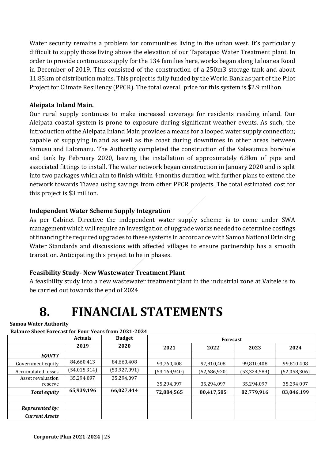Water security remains a problem for communities living in the urban west. It's particularly difficult to supply those living above the elevation of our Tapatapao Water Treatment plant. In order to provide continuous supply for the 134 families here, works began along Laloanea Road in December of 2019. This consisted of the construction of a 250m3 storage tank and about 11.85km of distribution mains. This project is fully funded by the World Bank as part of the Pilot Project for Climate Resiliency (PPCR). The total overall price for this system is \$2.9 million

## **Aleipata Inland Main.**

Our rural supply continues to make increased coverage for residents residing inland. Our Aleipata coastal system is prone to exposure during significant weather events. As such, the introduction of the Aleipata Inland Main provides a means for a looped water supply connection; capable of supplying inland as well as the coast during downtimes in other areas between Samusu and Lalomanu. The Authority completed the construction of the Saleaumua borehole and tank by February 2020, leaving the installation of approximately 6.8km of pipe and associated fittings to install. The water network began construction in January 2020 and is split into two packages which aim to finish within 4 months duration with further plans to extend the network towards Tiavea using savings from other PPCR projects. The total estimated cost for this project is \$3 million.

## **Independent Water Scheme Supply Integration**

As per Cabinet Directive the independent water supply scheme is to come under SWA management which will require an investigation of upgrade works needed to determine costings of financing the required upgrades to these systems in accordance with Samoa National Drinking Water Standards and discussions with affected villages to ensure partnership has a smooth transition. Anticipating this project to be in phases.

## **Feasibility Study- New Wastewater Treatment Plant**

A feasibility study into a new wastewater treatment plant in the industrial zone at Vaitele is to be carried out towards the end of 2024

## **8. FINANCIAL STATEMENTS**

### **Samoa Water Authority**

## **Balance Sheet Forecast for Four Years from 2021-2024**

|                       | <b>Actuals</b> | <b>Budget</b> | <b>Forecast</b> |              |                |              |  |
|-----------------------|----------------|---------------|-----------------|--------------|----------------|--------------|--|
|                       | 2019           | 2020          | 2021            | 2022         | 2023           | 2024         |  |
| <b>EQUITY</b>         |                |               |                 |              |                |              |  |
| Government equity     | 84,660.413     | 84,660.408    | 93,760,408      | 97,810,408   | 99,810,408     | 99,810,408   |  |
| Accumulated losses    | (54, 015, 314) | (53,927,091)  | (53, 169, 940)  | (52,686,920) | (53, 324, 589) | (52,058,306) |  |
| Asset revaluation     | 35,294,097     | 35,294,097    |                 |              |                |              |  |
| reserve               |                |               | 35,294,097      | 35,294,097   | 35,294,097     | 35,294,097   |  |
| <b>Total equity</b>   | 65,939,196     | 66,027,414    | 72,884,565      | 80,417,585   | 82,779,916     | 83,046,199   |  |
|                       |                |               |                 |              |                |              |  |
| Represented by:       |                |               |                 |              |                |              |  |
| <b>Current Assets</b> |                |               |                 |              |                |              |  |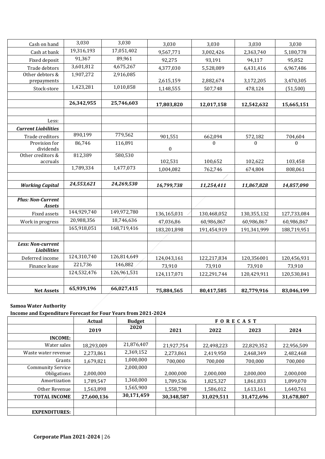| Cash on hand                            | 3,030       | 3,030       | 3,030            | 3,030       | 3,030       | 3,030       |
|-----------------------------------------|-------------|-------------|------------------|-------------|-------------|-------------|
| Cash at bank                            | 19,316,193  | 17,051,402  | 9,567,771        | 3,002,426   | 2,363,740   | 5,180,778   |
| Fixed deposit                           | 91,367      | 89,961      | 92,275           | 93,191      | 94,117      | 95,052      |
| Trade debtors                           | 3,601,812   | 4,675,267   | 4,377,030        | 5,528,089   | 6,431,416   | 6,967,486   |
| Other debtors &                         | 1,907,272   | 2,916,085   |                  |             |             |             |
| prepayments                             |             |             | 2,615,159        | 2,882,674   | 3,172,205   | 3,470,305   |
| Stock-store                             | 1,423,281   | 1,010,858   | 1,148,555        | 507,748     | 478,124     | (51,500)    |
|                                         |             |             |                  |             |             |             |
|                                         | 26,342,955  | 25,746,603  | 17,803,820       | 12,017,158  | 12,542,632  | 15,665,151  |
|                                         |             |             |                  |             |             |             |
| Less:                                   |             |             |                  |             |             |             |
| <b>Current Liabilities</b>              |             |             |                  |             |             |             |
| Trade creditors                         | 890,199     | 779,562     | 901,551          | 662,094     | 572,182     | 704,604     |
| Provision for                           | 86,746      | 116,891     |                  | $\theta$    | $\theta$    | $\Omega$    |
| dividends<br>Other creditors &          | 812,389     | 580,530     | $\boldsymbol{0}$ |             |             |             |
| accruals                                |             |             | 102,531          | 100,652     | 102,622     | 103,458     |
|                                         | 1,789,334   | 1,477,073   | 1,004,082        | 762,746     | 674,804     | 808,061     |
|                                         |             |             |                  |             |             |             |
| <b>Working Capital</b>                  | 24,553,621  | 24,269,530  | 16,799,738       | 11,254,411  | 11,867,828  | 14,857,090  |
|                                         |             |             |                  |             |             |             |
| <b>Plus: Non-Current</b>                |             |             |                  |             |             |             |
| <b>Assets</b>                           |             |             |                  |             |             |             |
| Fixed assets                            | 144,929,740 | 149,972,780 | 136,165,031      | 130,468,052 | 130,355,132 | 127,733,084 |
| Work in progress                        | 20,988,356  | 18,746,636  | 47,036,86        | 60,986,867  | 60,986,867  | 60,986,867  |
|                                         | 165,918,051 | 168,719,416 | 183,201,898      | 191,454,919 | 191,341,999 | 188,719,951 |
|                                         |             |             |                  |             |             |             |
| Less: Non-current<br><b>Liabilities</b> |             |             |                  |             |             |             |
| Deferred income                         | 124,310,740 | 126,814,649 | 124,043,161      | 122,217,834 | 120,356001  | 120,456,931 |
| Finance lease                           | 221,736     | 146,882     | 73,910           | 73,910      | 73,910      | 73,910      |
|                                         | 124,532,476 | 126,961,531 | 124,117,071      | 122,291,744 | 120,429,911 | 120,530,841 |
|                                         |             |             |                  |             |             |             |
| <b>Net Assets</b>                       | 65,939,196  | 66,027,415  | 75,884,565       | 80,417,585  | 82,779,916  | 83,046,199  |

### **Samoa Water Authority**

### **Income and Expenditure Forecast for Four Years from 2021-2024**

|                                         | <b>Actual</b> | <b>Budget</b> |            |            | <b>FORECAST</b> |            |
|-----------------------------------------|---------------|---------------|------------|------------|-----------------|------------|
|                                         | 2019          | 2020          | 2021       | 2022       | 2023            | 2024       |
| <b>INCOME:</b>                          |               |               |            |            |                 |            |
| Water sales                             | 18,293,009    | 21,876,407    | 21,927,754 | 22,498,223 | 22,829,352      | 22,956,509 |
| Waste water revenue                     | 2,273,861     | 2,369,152     | 2,273,861  | 2,419,950  | 2,468,349       | 2,482,468  |
| Grants                                  | 1,679,821     | 1,000,000     | 700,000    | 700,000    | 700,000         | 700,000    |
| <b>Community Service</b><br>Obligations | 2,000,000     | 2,000,000     | 2,000,000  | 2,000,000  | 2,000,000       | 2,000,000  |
| Amortization                            | 1,789,547     | 1,360,000     | 1,789,536  | 1,825,327  | 1,861,833       | 1,899,070  |
| Other Revenue                           | 1,563,898     | 1,565,900     | 1,558,798  | 1,586,012  | 1,613,161       | 1,640,761  |
| <b>TOTAL INCOME</b>                     | 27,600,136    | 30,171,459    | 30,348,587 | 31,029,511 | 31,472,696      | 31,678,807 |
|                                         |               |               |            |            |                 |            |
| <b>EXPENDITURES:</b>                    |               |               |            |            |                 |            |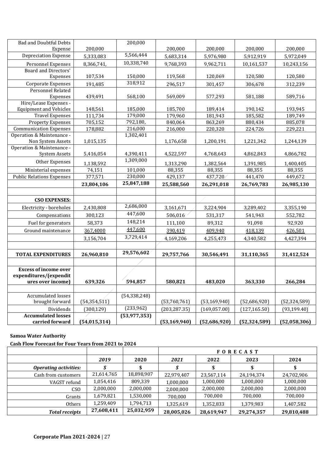| <b>Bad and Doubtful Debts</b>                             |                    | 200,000             |                    |                    |                    |                    |
|-----------------------------------------------------------|--------------------|---------------------|--------------------|--------------------|--------------------|--------------------|
| Expense                                                   | 200,000            |                     | 200,000            | 200,000            | 200,000            | 200,000            |
| <b>Depreciation Expense</b>                               | 5,333,083          | 5,566,444           | 5,683,314          | 5,976,980          | 5,912,919          | 5,972,049          |
| Personnel Expenses                                        | 8,366,741,         | 10,338,740          | 9,768,393          | 9,962,711          | 10,161,537         | 10,243,156         |
| Board and Directors'                                      |                    |                     |                    |                    |                    |                    |
| Expenses                                                  | 107,534            | 150,000             | 119,568            | 120,069            | 120,580            | 120,580            |
| Corporate Expenses                                        | 191,485            | 318,912             | 296,517            | 301,457            | 306,678            | 312,239            |
| Personnel Related                                         |                    |                     |                    |                    |                    |                    |
| Expenses                                                  | 439,491            | 568,100             | 569,009            | 577,293            | 581,188            | 589,716            |
| Hire/Lease Expenses -                                     |                    |                     |                    |                    |                    |                    |
| <b>Equipment and Vehicles</b>                             | 148,561            | 185,000             | 185,700            | 189,414            | 190,142            | 193,945            |
| <b>Travel Expenses</b>                                    | 111,734            | 179,000<br>792,180, | 179,960            | 181,943            | 185,582            | 189,749            |
| <b>Property Expenses</b><br><b>Communication Expenses</b> | 705,152<br>178,882 | 216,000             | 840,064<br>216,000 | 863,269<br>220,320 | 880,434<br>224,726 | 885,078<br>229,221 |
| Operation & Maintenance -                                 |                    | 1,302,401           |                    |                    |                    |                    |
| Non System Assets                                         | 1,015,135          |                     | 1,176,658          | 1,200,191          | 1,221,342          | 1,244,139          |
| Operation & Maintenance -                                 |                    |                     |                    |                    |                    |                    |
| <b>System Assets</b>                                      | 5,416,054          | 4,390,411           | 4,522,597          | 4,768,643          | 4,862,843          | 4,866,782          |
| Other Expenses                                            | 1,138,592          | 1,309,000           | 1,313,290          | 1,382,564          | 1,391,985          | 1,400,405          |
| Ministerial expenses                                      | 74,151             | 101,000             | 88,355             | 88,355             | 88,355             | 88,355             |
| <b>Public Relations Expenses</b>                          | 377,571            | 230,000             | 429,137            | 437,720            | 441,470            | 449,672            |
|                                                           | 23,804,106         | 25,847,188          | 25,588,560         | 26,291,018         | 26,769,783         | 26,985,130         |
|                                                           |                    |                     |                    |                    |                    |                    |
| <b>CSO EXPENSES:</b>                                      |                    |                     |                    |                    |                    |                    |
| Electricity - boreholes                                   | 2,430,808          | 2,686,000           | 3,161,671          | 3,224,904          | 3,289,402          | 3,355,190          |
| Compensations                                             | 300,123            | 447,600             | 506,016            | 531,317            | 541,943            | 552,782            |
| Fuel for generators                                       | 58,373             | 148,214             | 111,100            | 89,312             | 91,098             | 92,920             |
| Ground maintenance                                        | 367.4000           | 447,600             | 390.419            | 409.940            | 418.139            | 426.501            |
|                                                           | 3,156,704          | 3,729,414           | 4,169,206          | 4,255,473          | 4,340,582          | 4,427,394          |
|                                                           |                    |                     |                    |                    |                    |                    |
| <b>TOTAL EXPENDITURES</b>                                 | 26,960,810         | 29,576,602          | 29,757,766         | 30,546,491         | 31,110,365         | 31,412,524         |
|                                                           |                    |                     |                    |                    |                    |                    |
| <b>Excess of income over</b>                              |                    |                     |                    |                    |                    |                    |
| expenditures/(expendit                                    |                    |                     |                    |                    |                    |                    |
| ures over income)                                         | 639,326            | 594,857             | 580,821            | 483,020            | 363,330            | 266,284            |
|                                                           |                    |                     |                    |                    |                    |                    |
| Accumulated losses                                        |                    | (54, 338, 248)      |                    |                    |                    |                    |
| brought forward                                           | (54, 354, 511)     |                     | (53,760,761)       | (53, 169, 940)     | (52,686,920)       | (52, 324, 589)     |
| Dividends                                                 | (300, 129)         | (233,962)           | (203, 287.35)      | (169, 057.00)      | (127, 165.50)      | (93, 199.40)       |
| <b>Accumulated losses</b>                                 |                    | (53,977,353)        |                    |                    |                    |                    |
| carried forward                                           | (54, 015, 314)     |                     | (53, 169, 940)     | (52,686,920)       | (52, 324, 589)     | (52,058,306)       |

#### **Samoa Water Authority**

**Cash Flow Forecast for Four Years from 2021 to 2024**

|                              |            |            | <b>FORECAST</b> |            |            |            |  |
|------------------------------|------------|------------|-----------------|------------|------------|------------|--|
|                              | 2019       | 2020       | 2021            | 2022       | 2023       | 2024       |  |
| <b>Operating activities:</b> |            | \$         |                 |            |            |            |  |
| Cash from customers          | 21,614,765 | 18,898,907 | 22,979,407      | 23,567,114 | 24,194,374 | 24,702,906 |  |
| VAGST refund                 | 1,054,416  | 809,339    | 1,000,000       | 1,000,000  | 1,000,000  | 1,000,000  |  |
| CS <sub>O</sub>              | 2,000,000  | 2,000,000  | 2,000,000       | 2,000,000  | 2,000,000  | 2,000,000  |  |
| Grants                       | 1,679,821  | 1,530,000  | 700,000         | 700,000    | 700,000    | 700,000    |  |
| <b>Others</b>                | 1,259,409  | 1,794,713  | 1,325,619       | 1,352,833  | 1,379,983  | 1,407,582  |  |
| <b>Total receipts</b>        | 27,608,411 | 25,032,959 | 28,005,026      | 28,619,947 | 29,274,357 | 29,810,488 |  |